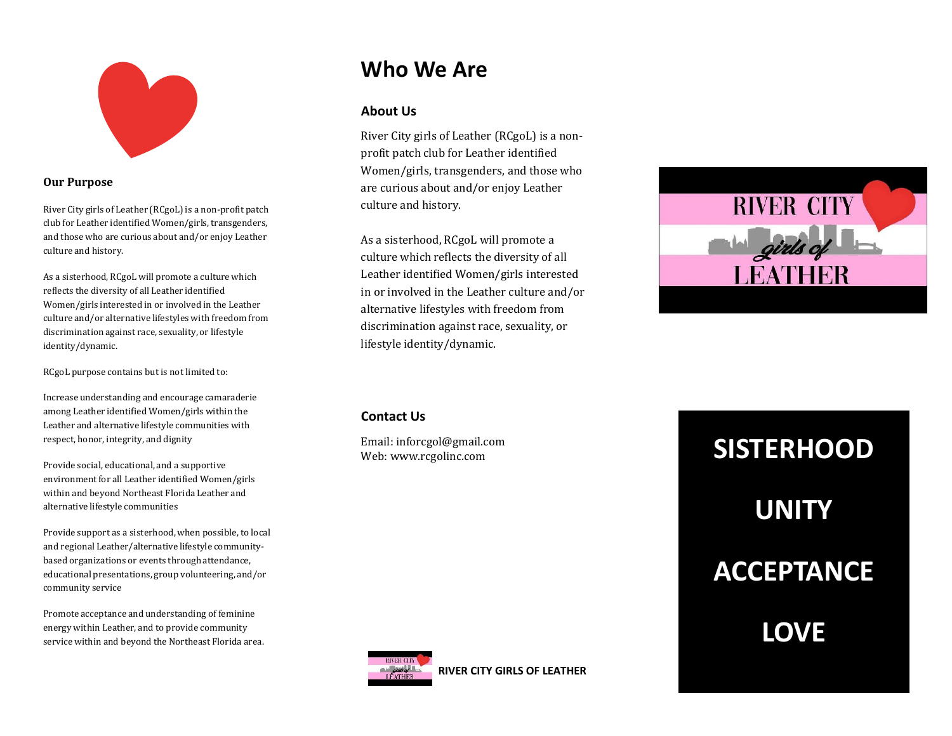

#### **Our Purpose**

River City girls of Leather (RCgoL) is a non-profit patch club for Leather identified Women/girls, transgenders, and those who are curious about and/or enjoy Leather culture and history.

As a sisterhood, RCgoL will promote a culture which reflects the diversity of all Leather identified Women/girls interested in or involved in the Leather culture and/or alternative lifestyles with freedom from discrimination against race, sexuality, or lifestyle identity/dynamic.

RCgoL purpose contains but is not limited to:

Increase understanding and encourage camaraderie among Leather identified Women/girls within the Leather and alternative lifestyle communities with respect, honor, integrity, and dignity

Provide social, educational, and a supportive environment for all Leather identified Women/girls within and beyond Northeast Florida Leather and alternative lifestyle communities

Provide support as a sisterhood, when possible, to local and regional Leather/alternative lifestyle communitybased organizations or events through attendance, educational presentations, group volunteering, and/or community service

Promote acceptance and understanding of feminine energy within Leather, and to provide community service within and beyond the Northeast Florida area.

### **Who We Are**

### **About Us**

River City girls of Leather (RCgoL) is a nonprofit patch club for Leather identified Women/girls, transgenders, and those who are curious about and/or enjoy Leather culture and history.

As a sisterhood, RCgoL will promote a culture which reflects the diversity of all Leather identified Women/girls interested in or involved in the Leather culture and/or alternative lifestyles with freedom from discrimination against race, sexuality, or lifestyle identity/dynamic.



### **Contact Us**

Email: inforcgol@gmail.com Web: www.rcgolinc.com